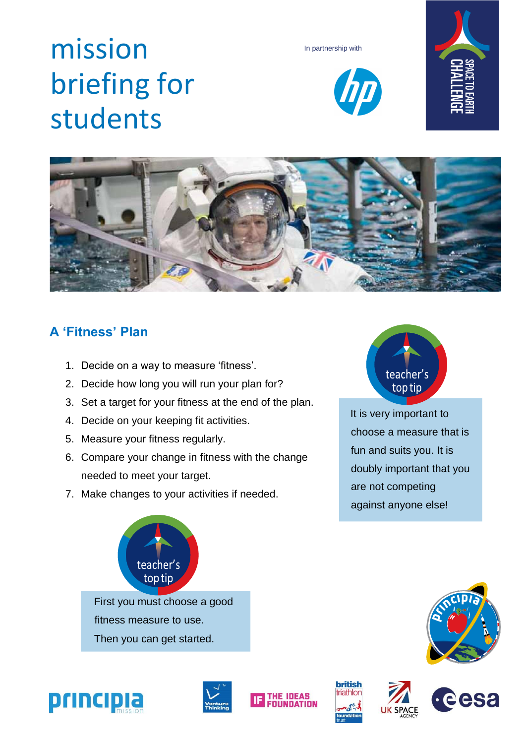# mission briefing for students









### **A 'Fitness' Plan**

- 1. Decide on a way to measure 'fitness'.
- 2. Decide how long you will run your plan for?
- 3. Set a target for your fitness at the end of the plan.
- 4. Decide on your keeping fit activities.
- 5. Measure your fitness regularly.
- 6. Compare your change in fitness with the change needed to meet your target.
- 7. Make changes to your activities if needed.



It is very important to choose a measure that is fun and suits you. It is doubly important that you are not competing against anyone else!





eesa









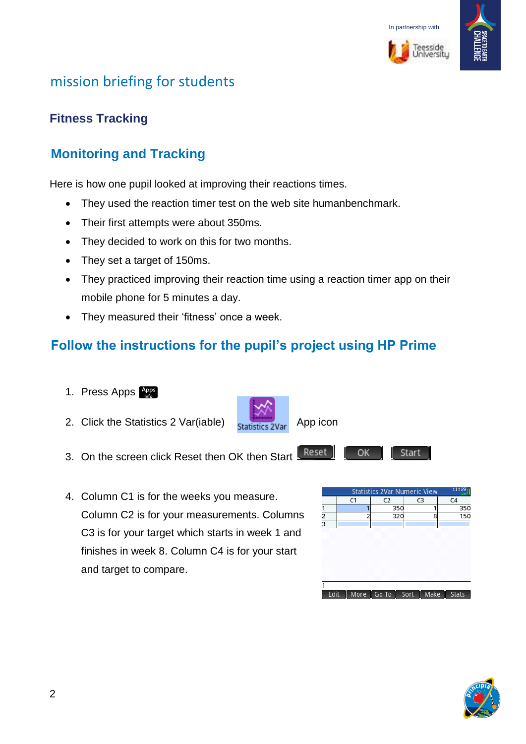



# mission briefing for students

#### **Fitness Tracking**

## **Monitoring and Tracking**

Here is how one pupil looked at improving their reactions times.

- They used the reaction timer test on the web site humanbenchmark.
- Their first attempts were about 350ms.
- They decided to work on this for two months.
- They set a target of 150ms.
- They practiced improving their reaction time using a reaction timer app on their mobile phone for 5 minutes a day.
- They measured their 'fitness' once a week.

#### **Follow the instructions for the pupil's project using HP Prime**

- 1. Press Apps Apps
- 2. Click the Statistics 2 Var(iable)  $\frac{1}{\text{C}}$   $\frac{1}{\text{C}}$  App icon
- Reset 3. On the screen click Reset then OK then Start
- 4. Column C1 is for the weeks you measure. Column C2 is for your measurements. Columns C3 is for your target which starts in week 1 and finishes in week 8. Column C4 is for your start and target to compare.

|               |    | <b>Statistics 2Var Numeric View</b>  |                | 11:39          |
|---------------|----|--------------------------------------|----------------|----------------|
|               | C1 | C <sub>2</sub>                       | C <sub>3</sub> | C <sub>4</sub> |
|               |    | 350                                  |                | 350            |
| $\frac{2}{3}$ |    | 320                                  | 8              | 150            |
|               |    |                                      |                |                |
|               |    |                                      |                |                |
|               |    |                                      |                |                |
|               |    |                                      |                |                |
|               |    |                                      |                |                |
|               |    |                                      |                |                |
|               |    |                                      |                |                |
|               |    |                                      |                |                |
|               |    |                                      |                |                |
| Edit          |    | More $\boxed{$ Go To $\boxed{}$ Sort | Make           | <b>Stats</b>   |
|               |    |                                      |                |                |

Start

OK.



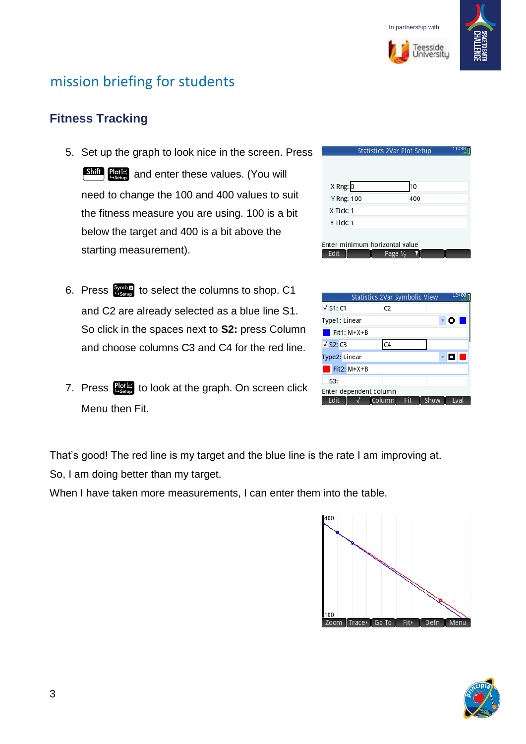

.<br>Feesside<br>Joiversity



## mission briefing for students

#### **Fitness Tracking**

- 5. Set up the graph to look nice in the screen. Press **Shift** Pote and enter these values. (You will need to change the 100 and 400 values to suit the fitness measure you are using. 100 is a bit below the target and 400 is a bit above the starting measurement).
- 6. Press  $\frac{\text{Symb2}}{\text{Assum}}$  to select the columns to shop. C1 and C2 are already selected as a blue line S1. So click in the spaces next to **S2:** press Column and choose columns C3 and C4 for the red line.
- 7. Press  $\frac{p}{\log n}$  to look at the graph. On screen click Menu then Fit.

| 11:40<br>Statistics 2Var Plot Setup |                                |     |  |  |
|-------------------------------------|--------------------------------|-----|--|--|
|                                     |                                |     |  |  |
| X Rng: 0                            |                                | 10  |  |  |
| Y Rng: 100                          |                                | 400 |  |  |
| X Tick: 1                           |                                |     |  |  |
| Y Tick: 1                           |                                |     |  |  |
|                                     |                                |     |  |  |
|                                     | Enter minimum horizontal value |     |  |  |
| Edit                                | Page 1/ <sub>2</sub>           |     |  |  |

| Statistics 2Var Symbolic View |                |     |      | 12:00 |
|-------------------------------|----------------|-----|------|-------|
| $\sqrt{51:}C1$                | C <sub>2</sub> |     |      |       |
| Type1: Linear                 |                |     |      | ο     |
| $\blacksquare$ Fit1: M*X+B    |                |     |      |       |
| $\sqrt{S2:}$ C <sub>3</sub>   | C4             |     |      |       |
| Type2: Linear                 |                |     |      | Œγ    |
| Fit2: M*X+B                   |                |     |      |       |
| S3:                           |                |     |      |       |
| Enter dependent column        |                |     |      |       |
| Edit                          | Column         | Fit | Show | Eval  |

That's good! The red line is my target and the blue line is the rate I am improving at. So, I am doing better than my target.

When I have taken more measurements, I can enter them into the table.